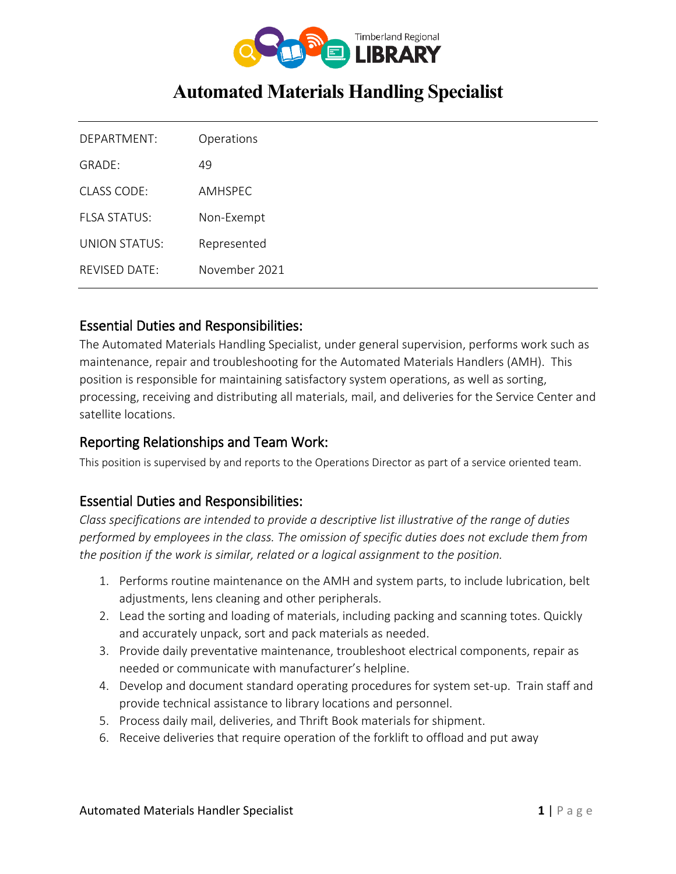

# **Automated Materials Handling Specialist**

| DFPARTMFNT <sup>1</sup>   | Operations     |
|---------------------------|----------------|
| GRADF:                    | 49             |
| $CIASS$ CODE:             | <b>AMHSPFC</b> |
| FI SA STATUS              | Non-Exempt     |
| UNION STATUS <sup>.</sup> | Represented    |
| REVISED DATE:             | November 2021  |

## Essential Duties and Responsibilities:

The Automated Materials Handling Specialist, under general supervision, performs work such as maintenance, repair and troubleshooting for the Automated Materials Handlers (AMH). This position is responsible for maintaining satisfactory system operations, as well as sorting, processing, receiving and distributing all materials, mail, and deliveries for the Service Center and satellite locations.

## Reporting Relationships and Team Work:

This position is supervised by and reports to the Operations Director as part of a service oriented team.

# Essential Duties and Responsibilities:

*Class specifications are intended to provide a descriptive list illustrative of the range of duties performed by employees in the class. The omission of specific duties does not exclude them from the position if the work is similar, related or a logical assignment to the position.*

- 1. Performs routine maintenance on the AMH and system parts, to include lubrication, belt adjustments, lens cleaning and other peripherals.
- 2. Lead the sorting and loading of materials, including packing and scanning totes. Quickly and accurately unpack, sort and pack materials as needed.
- 3. Provide daily preventative maintenance, troubleshoot electrical components, repair as needed or communicate with manufacturer's helpline.
- 4. Develop and document standard operating procedures for system set-up. Train staff and provide technical assistance to library locations and personnel.
- 5. Process daily mail, deliveries, and Thrift Book materials for shipment.
- 6. Receive deliveries that require operation of the forklift to offload and put away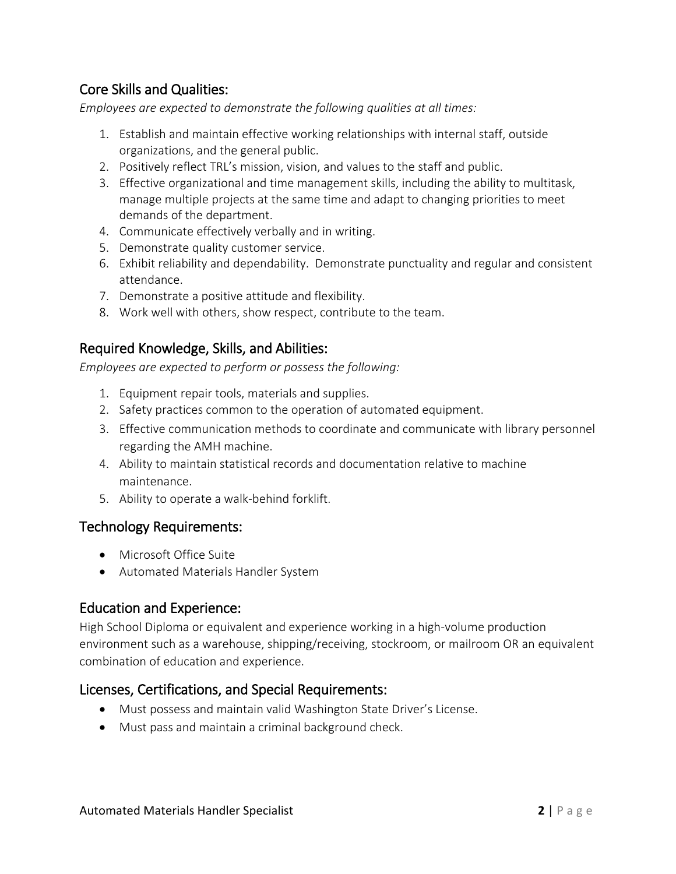# Core Skills and Qualities:

*Employees are expected to demonstrate the following qualities at all times:*

- 1. Establish and maintain effective working relationships with internal staff, outside organizations, and the general public.
- 2. Positively reflect TRL's mission, vision, and values to the staff and public.
- 3. Effective organizational and time management skills, including the ability to multitask, manage multiple projects at the same time and adapt to changing priorities to meet demands of the department.
- 4. Communicate effectively verbally and in writing.
- 5. Demonstrate quality customer service.
- 6. Exhibit reliability and dependability. Demonstrate punctuality and regular and consistent attendance.
- 7. Demonstrate a positive attitude and flexibility.
- 8. Work well with others, show respect, contribute to the team.

## Required Knowledge, Skills, and Abilities:

*Employees are expected to perform or possess the following:*

- 1. Equipment repair tools, materials and supplies.
- 2. Safety practices common to the operation of automated equipment.
- 3. Effective communication methods to coordinate and communicate with library personnel regarding the AMH machine.
- 4. Ability to maintain statistical records and documentation relative to machine maintenance.
- 5. Ability to operate a walk-behind forklift.

### Technology Requirements:

- Microsoft Office Suite
- Automated Materials Handler System

### Education and Experience:

High School Diploma or equivalent and experience working in a high-volume production environment such as a warehouse, shipping/receiving, stockroom, or mailroom OR an equivalent combination of education and experience.

### Licenses, Certifications, and Special Requirements:

- Must possess and maintain valid Washington State Driver's License.
- Must pass and maintain a criminal background check.